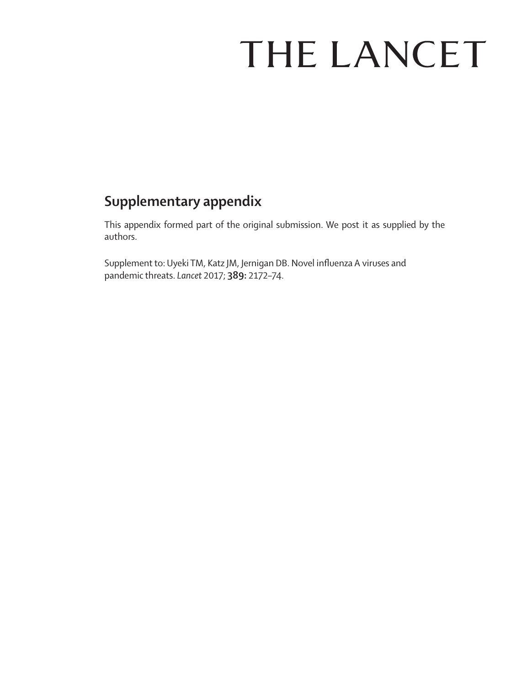# THE LANCET

## **Supplementary appendix**

This appendix formed part of the original submission. We post it as supplied by the authors.

Supplement to: Uyeki TM, Katz JM, Jernigan DB. Novel influenza A viruses and pandemic threats. *Lancet* 2017; **389:** 2172–74.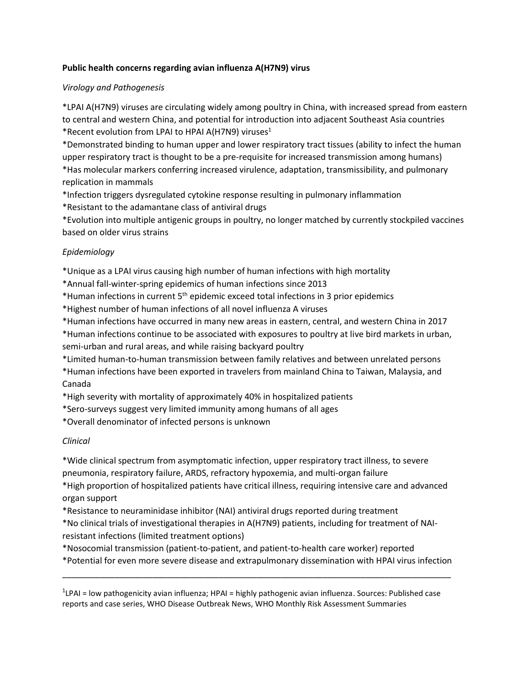#### **Public health concerns regarding avian influenza A(H7N9) virus**

#### *Virology and Pathogenesis*

\*LPAI A(H7N9) viruses are circulating widely among poultry in China, with increased spread from eastern to central and western China, and potential for introduction into adjacent Southeast Asia countries \*Recent evolution from LPAI to HPAI A(H7N9) viruses<sup>1</sup>

\*Demonstrated binding to human upper and lower respiratory tract tissues (ability to infect the human upper respiratory tract is thought to be a pre-requisite for increased transmission among humans) \*Has molecular markers conferring increased virulence, adaptation, transmissibility, and pulmonary replication in mammals

\*Infection triggers dysregulated cytokine response resulting in pulmonary inflammation

\*Resistant to the adamantane class of antiviral drugs

\*Evolution into multiple antigenic groups in poultry, no longer matched by currently stockpiled vaccines based on older virus strains

### *Epidemiology*

\*Unique as a LPAI virus causing high number of human infections with high mortality

\*Annual fall-winter-spring epidemics of human infections since 2013

\*Human infections in current 5th epidemic exceed total infections in 3 prior epidemics

\*Highest number of human infections of all novel influenza A viruses

\*Human infections have occurred in many new areas in eastern, central, and western China in 2017

\*Human infections continue to be associated with exposures to poultry at live bird markets in urban, semi-urban and rural areas, and while raising backyard poultry

\*Limited human-to-human transmission between family relatives and between unrelated persons

\*Human infections have been exported in travelers from mainland China to Taiwan, Malaysia, and Canada

\*High severity with mortality of approximately 40% in hospitalized patients

\*Sero-surveys suggest very limited immunity among humans of all ages

\*Overall denominator of infected persons is unknown

### *Clinical*

\*Wide clinical spectrum from asymptomatic infection, upper respiratory tract illness, to severe pneumonia, respiratory failure, ARDS, refractory hypoxemia, and multi-organ failure \*High proportion of hospitalized patients have critical illness, requiring intensive care and advanced

organ support

\*Resistance to neuraminidase inhibitor (NAI) antiviral drugs reported during treatment

\*No clinical trials of investigational therapies in A(H7N9) patients, including for treatment of NAIresistant infections (limited treatment options)

\*Nosocomial transmission (patient-to-patient, and patient-to-health care worker) reported \*Potential for even more severe disease and extrapulmonary dissemination with HPAI virus infection

\_\_\_\_\_\_\_\_\_\_\_\_\_\_\_\_\_\_\_\_\_\_\_\_\_\_\_\_\_\_\_\_\_\_\_\_\_\_\_\_\_\_\_\_\_\_\_\_\_\_\_\_\_\_\_\_\_\_\_\_\_\_\_\_\_\_\_\_\_\_\_\_\_\_\_\_\_\_\_\_\_\_

<sup>1</sup>LPAI = low pathogenicity avian influenza; HPAI = highly pathogenic avian influenza. Sources: Published case reports and case series, WHO Disease Outbreak News, WHO Monthly Risk Assessment Summaries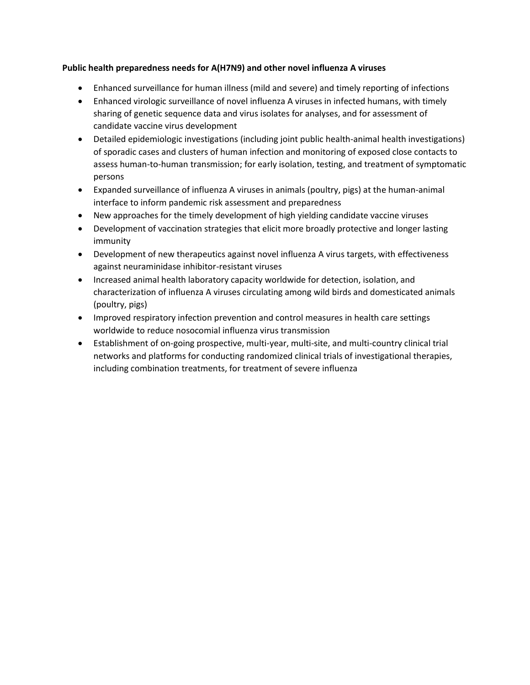#### **Public health preparedness needs for A(H7N9) and other novel influenza A viruses**

- Enhanced surveillance for human illness (mild and severe) and timely reporting of infections
- Enhanced virologic surveillance of novel influenza A viruses in infected humans, with timely sharing of genetic sequence data and virus isolates for analyses, and for assessment of candidate vaccine virus development
- Detailed epidemiologic investigations (including joint public health-animal health investigations) of sporadic cases and clusters of human infection and monitoring of exposed close contacts to assess human-to-human transmission; for early isolation, testing, and treatment of symptomatic persons
- Expanded surveillance of influenza A viruses in animals (poultry, pigs) at the human-animal interface to inform pandemic risk assessment and preparedness
- New approaches for the timely development of high yielding candidate vaccine viruses
- Development of vaccination strategies that elicit more broadly protective and longer lasting immunity
- Development of new therapeutics against novel influenza A virus targets, with effectiveness against neuraminidase inhibitor-resistant viruses
- Increased animal health laboratory capacity worldwide for detection, isolation, and characterization of influenza A viruses circulating among wild birds and domesticated animals (poultry, pigs)
- Improved respiratory infection prevention and control measures in health care settings worldwide to reduce nosocomial influenza virus transmission
- Establishment of on-going prospective, multi-year, multi-site, and multi-country clinical trial networks and platforms for conducting randomized clinical trials of investigational therapies, including combination treatments, for treatment of severe influenza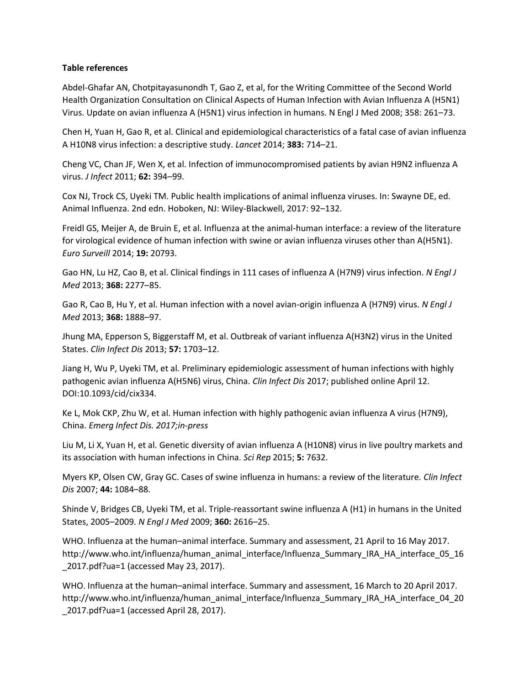#### **Table references**

Abdel-Ghafar AN, Chotpitayasunondh T, Gao Z, et al, for the Writing Committee of the Second World Health Organization Consultation on Clinical Aspects of Human Infection with Avian Influenza A (H5N1) Virus. Update on avian influenza A (H5N1) virus infection in humans. N Engl J Med 2008; 358: 261–73.

Chen H, Yuan H, Gao R, et al. Clinical and epidemiological characteristics of a fatal case of avian influenza A H10N8 virus infection: a descriptive study. *Lancet* 2014; **383:** 714–21.

Cheng VC, Chan JF, Wen X, et al. Infection of immunocompromised patients by avian H9N2 influenza A virus. *J Infect* 2011; **62:** 394–99.

Cox NJ, Trock CS, Uyeki TM. Public health implications of animal influenza viruses. In: Swayne DE, ed. Animal Influenza. 2nd edn. Hoboken, NJ: Wiley-Blackwell, 2017: 92–132.

Freidl GS, Meijer A, de Bruin E, et al. Influenza at the animal-human interface: a review of the literature for virological evidence of human infection with swine or avian influenza viruses other than A(H5N1). *Euro Surveill* 2014; **19:** 20793.

Gao HN, Lu HZ, Cao B, et al. Clinical findings in 111 cases of influenza A (H7N9) virus infection. *N Engl J Med* 2013; **368:** 2277–85.

Gao R, Cao B, Hu Y, et al. Human infection with a novel avian-origin influenza A (H7N9) virus. *N Engl J Med* 2013; **368:** 1888–97.

Jhung MA, Epperson S, Biggerstaff M, et al. Outbreak of variant influenza A(H3N2) virus in the United States. *Clin Infect Dis* 2013; **57:** 1703–12.

Jiang H, Wu P, Uyeki TM, et al. Preliminary epidemiologic assessment of human infections with highly pathogenic avian influenza A(H5N6) virus, China. *Clin Infect Dis* 2017; published online April 12. DOI:10.1093/cid/cix334.

Ke L, Mok CKP, Zhu W, et al. Human infection with highly pathogenic avian influenza A virus (H7N9), China. *Emerg Infect Dis. 2017;in-press*

Liu M, Li X, Yuan H, et al. Genetic diversity of avian influenza A (H10N8) virus in live poultry markets and its association with human infections in China. *Sci Rep* 2015; **5:** 7632.

Myers KP, Olsen CW, Gray GC. Cases of swine influenza in humans: a review of the literature. *Clin Infect Dis* 2007; **44:** 1084–88.

Shinde V, Bridges CB, Uyeki TM, et al. Triple-reassortant swine influenza A (H1) in humans in the United States, 2005–2009. *N Engl J Med* 2009; **360:** 2616–25.

WHO. Influenza at the human–animal interface. Summary and assessment, 21 April to 16 May 2017. http://www.who.int/influenza/human\_animal\_interface/Influenza\_Summary\_IRA\_HA\_interface\_05\_16 \_2017.pdf?ua=1 (accessed May 23, 2017).

WHO. Influenza at the human–animal interface. Summary and assessment, 16 March to 20 April 2017. http://www.who.int/influenza/human\_animal\_interface/Influenza\_Summary\_IRA\_HA\_interface\_04\_20 \_2017.pdf?ua=1 (accessed April 28, 2017).